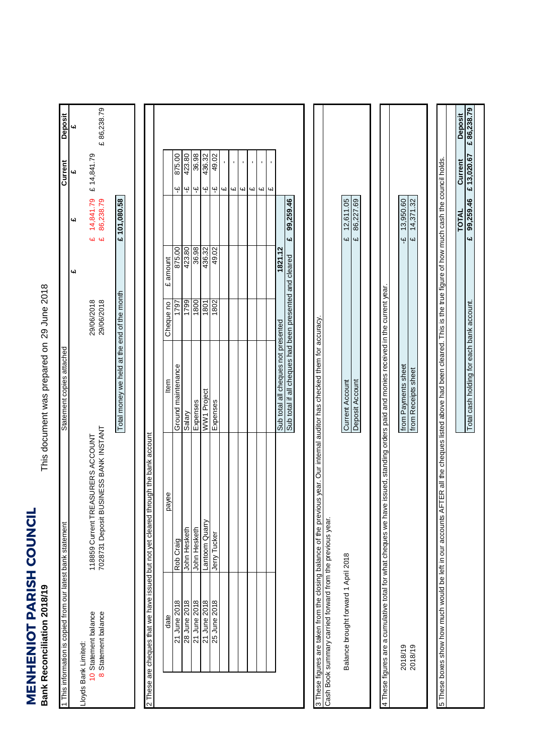**MENHENIOT PARISH COUNCIL**<br>Bank Reconciliation 2018/19 **MENHENIOT PARISH COUNCIL Bank Reconciliation 2018/19**

This document was prepared on 29 June 2018 This document was prepared on

| 1 This information is copied from our latest bank statement     |                                                                                                                              | Statement copies attached                                                                                     |                          |                              |                        | Current                                   | Deposit    |
|-----------------------------------------------------------------|------------------------------------------------------------------------------------------------------------------------------|---------------------------------------------------------------------------------------------------------------|--------------------------|------------------------------|------------------------|-------------------------------------------|------------|
| Lloyds Bank Limited:                                            |                                                                                                                              |                                                                                                               |                          | یبا                          | <b>س</b>               | 41                                        | <b>س</b>   |
| 8 Statement balance<br>10 Statement balance                     | 7028731 Deposit BUSINESS BANK INSTANT<br>118859 Current TREASURERS ACCOUNT                                                   |                                                                                                               | 29/06/2018<br>29/06/2018 | 44                           | 14,841.79<br>86,238.79 | £ 14,841.79                               | £86,238.79 |
|                                                                 |                                                                                                                              | Total money we held at the end of the month                                                                   |                          |                              | £ 101,080.58           |                                           |            |
|                                                                 | 2 These are cheques that we have issued but not yet cleared through the bank account                                         |                                                                                                               |                          |                              |                        |                                           |            |
|                                                                 |                                                                                                                              |                                                                                                               |                          |                              |                        |                                           |            |
| 21 June 2018<br>date                                            | payee<br>Rob Craig                                                                                                           | Ground maintenance<br>ltem                                                                                    | 1797<br>Cheque no        | 875.00<br>amount<br>Ġ        |                        | 875.00<br>$\ddot{\mathbf{r}}$             |            |
| 28 June 2018                                                    | John Hesketh                                                                                                                 | Salary                                                                                                        | 1799                     |                              |                        | $\ddot{\mathbf{r}}$                       |            |
| 21 June 2018                                                    | John Hesketh                                                                                                                 | Expenses                                                                                                      | 1800                     | 423.80<br>36.98              |                        | 36.98<br>423.80<br>$\frac{c}{n}$          |            |
| 21 June 2018                                                    | Lantoom Quarry                                                                                                               | WW1 Project                                                                                                   | 1801                     | 436.32                       |                        | 436.32<br>Ψ                               |            |
| 25 June 2018                                                    | Jerry Tucker                                                                                                                 | Expenses                                                                                                      | 1802                     | 49.02                        |                        | 49.02<br>$4^1$                            |            |
|                                                                 |                                                                                                                              |                                                                                                               |                          |                              |                        | ${\mathsf G}$                             |            |
|                                                                 |                                                                                                                              |                                                                                                               |                          |                              |                        | $\blacksquare$<br>CH)                     |            |
|                                                                 |                                                                                                                              |                                                                                                               |                          |                              |                        | $\blacksquare$<br>£                       |            |
|                                                                 |                                                                                                                              |                                                                                                               |                          |                              |                        | $\blacksquare$<br>$\omega$                |            |
|                                                                 |                                                                                                                              |                                                                                                               |                          |                              |                        | $\blacksquare$<br>$\overline{u}$          |            |
|                                                                 |                                                                                                                              |                                                                                                               |                          |                              |                        | $\blacksquare$<br>$\overline{\mathbf{u}}$ |            |
|                                                                 |                                                                                                                              | Sub total all cheques not presented                                                                           |                          | 1821.12                      |                        |                                           |            |
|                                                                 |                                                                                                                              | Sub total if all cheques had been presented and cleared                                                       |                          | <b>G</b>                     | 99,259.46              |                                           |            |
| Cash Book summary carried forward from the previous year.       | 3 These figures are taken from the closing balance of the previous year. Our internal auditor has checked them for accuracy. |                                                                                                               |                          |                              |                        |                                           |            |
|                                                                 |                                                                                                                              |                                                                                                               |                          |                              |                        |                                           |            |
| Balance brought forward 1 April 2018                            |                                                                                                                              | Deposit Account<br>Current Account                                                                            |                          | $\overline{\mathbf{u}}$<br>Щ | 12,611.05<br>86,227.69 |                                           |            |
|                                                                 |                                                                                                                              |                                                                                                               |                          |                              |                        |                                           |            |
| 4 These figures are a cumulative total for what cheques we have |                                                                                                                              | issued, standing orders paid and monies received in the current year.                                         |                          |                              |                        |                                           |            |
| 2018/19                                                         |                                                                                                                              | from Payments sheet                                                                                           |                          | Ψ                            | 13,950.60              |                                           |            |
| 2018/19                                                         |                                                                                                                              | from Receipts sheet                                                                                           |                          | $\overline{\mathbf{u}}$      | 14,371.32              |                                           |            |
|                                                                 |                                                                                                                              |                                                                                                               |                          |                              |                        |                                           |            |
| 5 These boxes show how much would be left in our accounts AF    |                                                                                                                              | ER all the cheques listed above had been cleared. This is the true figure of how much cash the council holds. |                          |                              |                        |                                           |            |
|                                                                 |                                                                                                                              |                                                                                                               |                          |                              | TOTAL                  | Current                                   | Deposit    |
|                                                                 |                                                                                                                              | Total cash holding for each bank account.                                                                     |                          |                              | 99,259.46<br><b>G</b>  | £13,020.67                                | £86,238.79 |
|                                                                 |                                                                                                                              |                                                                                                               |                          |                              |                        |                                           |            |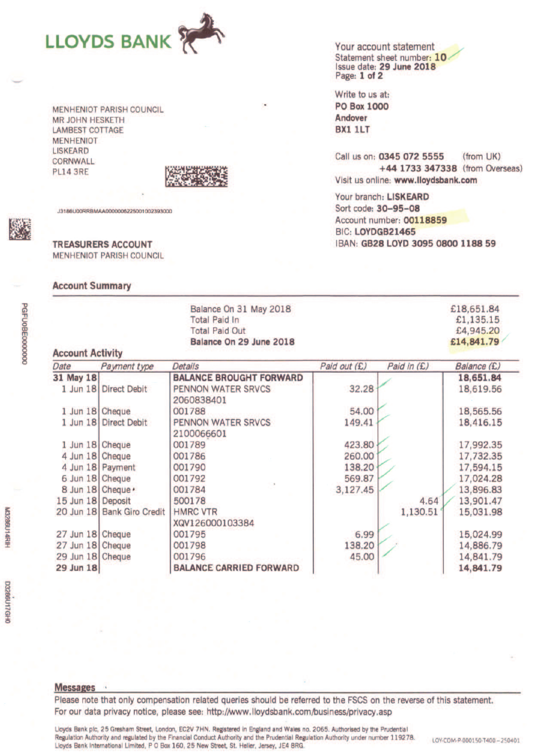

**MENHENIOT PARISH COUNCIL MR JOHN HESKETH LAMBEST COTTAGE MENHENIOT LISKEARD** CORNWALL **PL14 3RE** 



J3186U00RRBMAA0000006225001002393000

**TREASURERS ACCOUNT MENHENIOT PARISH COUNCIL** 

**Account Summary** 

Your account statement Statement sheet number: 10 Issue date: 29 June 2018

Write to us at: **PO Box 1000** Andover **BX1 1LT** 

Call us on: 0345 072 5555 (from UK) +44 1733 347338 (from Overseas) Visit us online: www.lloydsbank.com

Your branch: LISKEARD Sort code: 30-95-08 Account number: 00118859 BIC: LOYDGB21465 IBAN: GB28 LOYD 3095 0800 1188 59

|                         | Balance On 31 May 2018  | £18,651,84 |
|-------------------------|-------------------------|------------|
|                         | <b>Total Paid In</b>    | £1.135.15  |
|                         | <b>Total Paid Out</b>   | £4,945.20  |
|                         | Balance On 29 June 2018 | £14,841.79 |
| <b>Account Activity</b> |                         |            |

| Date              | Payment type               | <b>Details</b>                 | Paid out (£) | Paid in (£) | Balance (£) |
|-------------------|----------------------------|--------------------------------|--------------|-------------|-------------|
| 31 May 18         |                            | <b>BALANCE BROUGHT FORWARD</b> |              |             | 18,651.84   |
| 1 Jun 18          | <b>Direct Debit</b>        | PENNON WATER SRVCS             | 32.28        |             | 18,619.56   |
|                   |                            | 2060838401                     |              |             |             |
| 1 Jun 18 Cheque   |                            | 001788                         | 54.00        |             | 18,565.56   |
|                   | 1 Jun 18 Direct Debit      | PENNON WATER SRVCS             | 149.41       |             | 18,416.15   |
|                   |                            | 2100066601                     |              |             |             |
| 1 Jun 18 Cheque   |                            | 001789                         | 423.80       |             | 17,992.35   |
| 4 Jun 18 Cheque   |                            | 001786                         | 260.00       |             | 17,732.35   |
|                   | 4 Jun 18 Payment           | 001790                         | 138.20       |             | 17,594.15   |
| 6 Jun 18 Cheque   |                            | 001792                         | 569.87       |             | 17,024.28   |
| 8 Jun 18 Cheque . |                            | 001784                         | 3,127.45     |             | 13,896.83   |
| 15 Jun 18 Deposit |                            | 500178                         |              | 4.64        | 13,901.47   |
|                   | 20 Jun 18 Bank Giro Credit | <b>HMRC VTR</b>                |              | 1,130.51    | 15,031.98   |
|                   |                            | XQV126000103384                |              |             |             |
| 27 Jun 18         | Cheque                     | 001795                         | 6.99         |             | 15,024.99   |
| 27 Jun 18 Cheque  |                            | 001798                         | 138.20       |             | 14,886.79   |
| 29 Jun 18 Cheque  |                            | 001796                         | 45.00        |             | 14,841.79   |
| 29 Jun 18         |                            | <b>BALANCE CARRIED FORWARD</b> |              |             | 14,841.79   |

D3286U17GH0

## **Messages**

Please note that only compensation related queries should be referred to the FSCS on the reverse of this statement. For our data privacy notice, please see: http://www.lloydsbank.com/business/privacy.asp

Lloyds Bank plc, 25 Gresham Street, London, EC2V 7HN. Registered in England and Wales no. 2065. Authorised by the Prudential Regulation Authority and regulated by the Financial Conduct Authority and the Prudential Regulation Authority under number 119278. Lloyds Bank International Limited, P O Box 160, 25 New Street, St. Heller, Jersey, JE4 8RG.